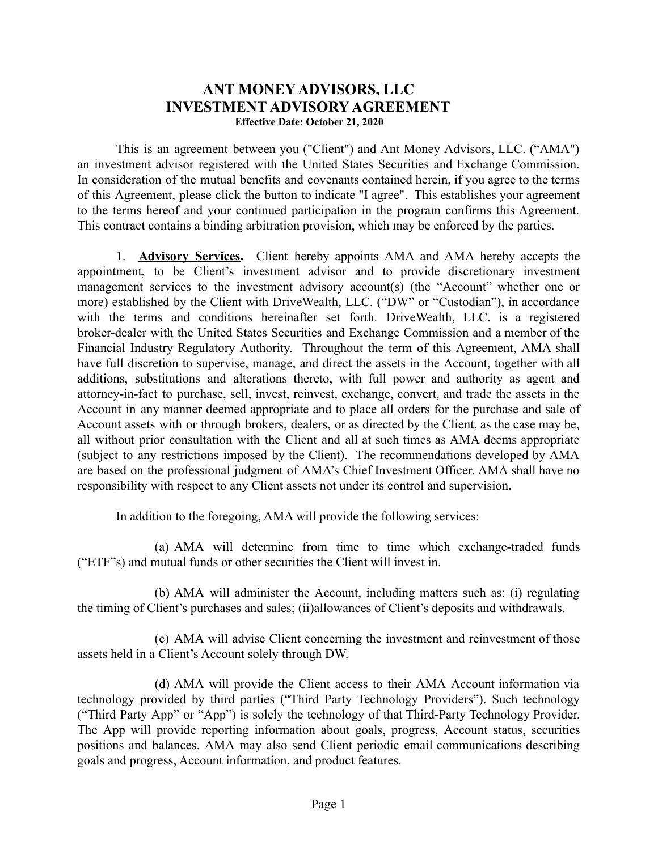# **ANT MONEY ADVISORS, LLC INVESTMENT ADVISORY AGREEMENT**

**Effective Date: October 21, 2020**

This is an agreement between you ("Client") and Ant Money Advisors, LLC. ("AMA") an investment advisor registered with the United States Securities and Exchange Commission. In consideration of the mutual benefits and covenants contained herein, if you agree to the terms of this Agreement, please click the button to indicate "I agree". This establishes your agreement to the terms hereof and your continued participation in the program confirms this Agreement. This contract contains a binding arbitration provision, which may be enforced by the parties.

1. **Advisory Services.** Client hereby appoints AMA and AMA hereby accepts the appointment, to be Client's investment advisor and to provide discretionary investment management services to the investment advisory account(s) (the "Account" whether one or more) established by the Client with DriveWealth, LLC. ("DW" or "Custodian"), in accordance with the terms and conditions hereinafter set forth. DriveWealth, LLC. is a registered broker-dealer with the United States Securities and Exchange Commission and a member of the Financial Industry Regulatory Authority. Throughout the term of this Agreement, AMA shall have full discretion to supervise, manage, and direct the assets in the Account, together with all additions, substitutions and alterations thereto, with full power and authority as agent and attorney-in-fact to purchase, sell, invest, reinvest, exchange, convert, and trade the assets in the Account in any manner deemed appropriate and to place all orders for the purchase and sale of Account assets with or through brokers, dealers, or as directed by the Client, as the case may be, all without prior consultation with the Client and all at such times as AMA deems appropriate (subject to any restrictions imposed by the Client). The recommendations developed by AMA are based on the professional judgment of AMA's Chief Investment Officer. AMA shall have no responsibility with respect to any Client assets not under its control and supervision.

In addition to the foregoing, AMA will provide the following services:

(a) AMA will determine from time to time which exchange-traded funds ("ETF"s) and mutual funds or other securities the Client will invest in.

(b) AMA will administer the Account, including matters such as: (i) regulating the timing of Client's purchases and sales; (ii)allowances of Client's deposits and withdrawals.

(c) AMA will advise Client concerning the investment and reinvestment of those assets held in a Client's Account solely through DW.

(d) AMA will provide the Client access to their AMA Account information via technology provided by third parties ("Third Party Technology Providers"). Such technology ("Third Party App" or "App") is solely the technology of that Third-Party Technology Provider. The App will provide reporting information about goals, progress, Account status, securities positions and balances. AMA may also send Client periodic email communications describing goals and progress, Account information, and product features.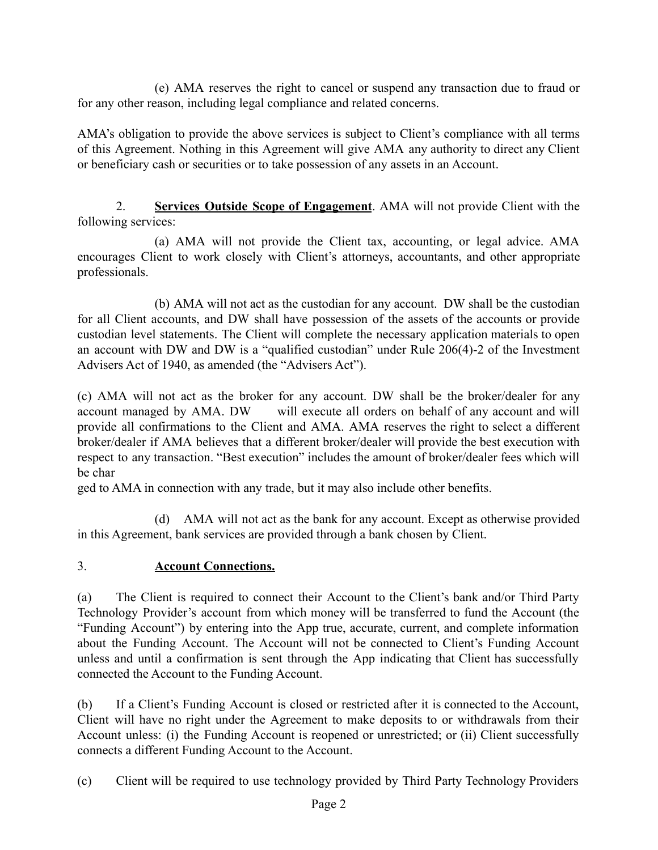(e) AMA reserves the right to cancel or suspend any transaction due to fraud or for any other reason, including legal compliance and related concerns.

AMA's obligation to provide the above services is subject to Client's compliance with all terms of this Agreement. Nothing in this Agreement will give AMA any authority to direct any Client or beneficiary cash or securities or to take possession of any assets in an Account.

2. **Services Outside Scope of Engagement**. AMA will not provide Client with the following services:

(a) AMA will not provide the Client tax, accounting, or legal advice. AMA encourages Client to work closely with Client's attorneys, accountants, and other appropriate professionals.

(b) AMA will not act as the custodian for any account. DW shall be the custodian for all Client accounts, and DW shall have possession of the assets of the accounts or provide custodian level statements. The Client will complete the necessary application materials to open an account with DW and DW is a "qualified custodian" under Rule 206(4)-2 of the Investment Advisers Act of 1940, as amended (the "Advisers Act").

(c) AMA will not act as the broker for any account. DW shall be the broker/dealer for any account managed by AMA. DW will execute all orders on behalf of any account and will provide all confirmations to the Client and AMA. AMA reserves the right to select a different broker/dealer if AMA believes that a different broker/dealer will provide the best execution with respect to any transaction. "Best execution" includes the amount of broker/dealer fees which will be char

ged to AMA in connection with any trade, but it may also include other benefits.

(d) AMA will not act as the bank for any account. Except as otherwise provided in this Agreement, bank services are provided through a bank chosen by Client.

### 3. **Account Connections.**

(a) The Client is required to connect their Account to the Client's bank and/or Third Party Technology Provider's account from which money will be transferred to fund the Account (the "Funding Account") by entering into the App true, accurate, current, and complete information about the Funding Account. The Account will not be connected to Client's Funding Account unless and until a confirmation is sent through the App indicating that Client has successfully connected the Account to the Funding Account.

(b) If a Client's Funding Account is closed or restricted after it is connected to the Account, Client will have no right under the Agreement to make deposits to or withdrawals from their Account unless: (i) the Funding Account is reopened or unrestricted; or (ii) Client successfully connects a different Funding Account to the Account.

(c) Client will be required to use technology provided by Third Party Technology Providers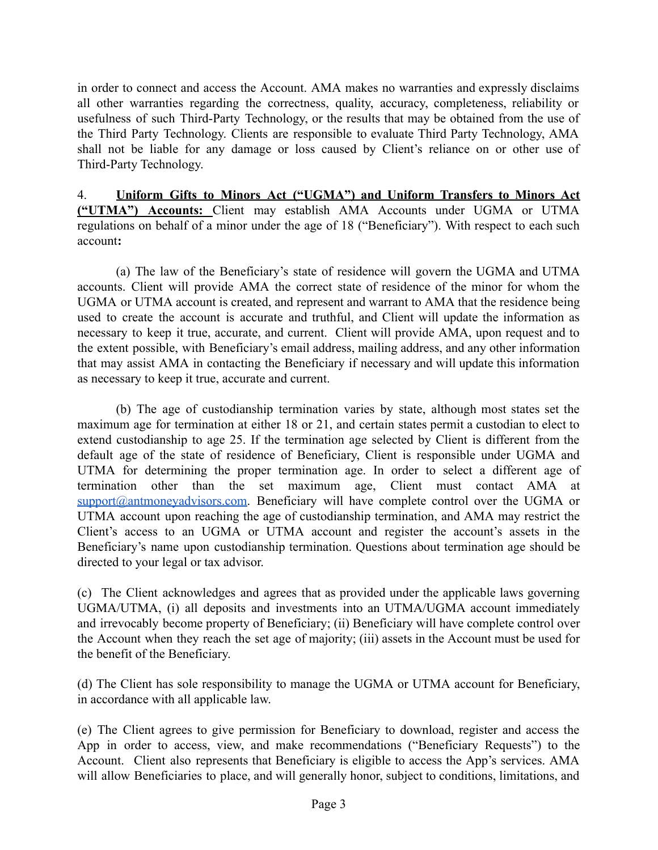in order to connect and access the Account. AMA makes no warranties and expressly disclaims all other warranties regarding the correctness, quality, accuracy, completeness, reliability or usefulness of such Third-Party Technology, or the results that may be obtained from the use of the Third Party Technology. Clients are responsible to evaluate Third Party Technology, AMA shall not be liable for any damage or loss caused by Client's reliance on or other use of Third-Party Technology.

4. **Uniform Gifts to Minors Act ("UGMA") and Uniform Transfers to Minors Act ("UTMA") Accounts:** Client may establish AMA Accounts under UGMA or UTMA regulations on behalf of a minor under the age of 18 ("Beneficiary"). With respect to each such account**:**

(a) The law of the Beneficiary's state of residence will govern the UGMA and UTMA accounts. Client will provide AMA the correct state of residence of the minor for whom the UGMA or UTMA account is created, and represent and warrant to AMA that the residence being used to create the account is accurate and truthful, and Client will update the information as necessary to keep it true, accurate, and current. Client will provide AMA, upon request and to the extent possible, with Beneficiary's email address, mailing address, and any other information that may assist AMA in contacting the Beneficiary if necessary and will update this information as necessary to keep it true, accurate and current.

(b) The age of custodianship termination varies by state, although most states set the maximum age for termination at either 18 or 21, and certain states permit a custodian to elect to extend custodianship to age 25. If the termination age selected by Client is different from the default age of the state of residence of Beneficiary, Client is responsible under UGMA and UTMA for determining the proper termination age. In order to select a different age of termination other than the set maximum age, Client must contact AMA at [support@antmoneyadvisors.com](mailto:support@antmoneyadvisors.com). Beneficiary will have complete control over the UGMA or UTMA account upon reaching the age of custodianship termination, and AMA may restrict the Client's access to an UGMA or UTMA account and register the account's assets in the Beneficiary's name upon custodianship termination. Questions about termination age should be directed to your legal or tax advisor.

(c) The Client acknowledges and agrees that as provided under the applicable laws governing UGMA/UTMA, (i) all deposits and investments into an UTMA/UGMA account immediately and irrevocably become property of Beneficiary; (ii) Beneficiary will have complete control over the Account when they reach the set age of majority; (iii) assets in the Account must be used for the benefit of the Beneficiary.

(d) The Client has sole responsibility to manage the UGMA or UTMA account for Beneficiary, in accordance with all applicable law.

(e) The Client agrees to give permission for Beneficiary to download, register and access the App in order to access, view, and make recommendations ("Beneficiary Requests") to the Account. Client also represents that Beneficiary is eligible to access the App's services. AMA will allow Beneficiaries to place, and will generally honor, subject to conditions, limitations, and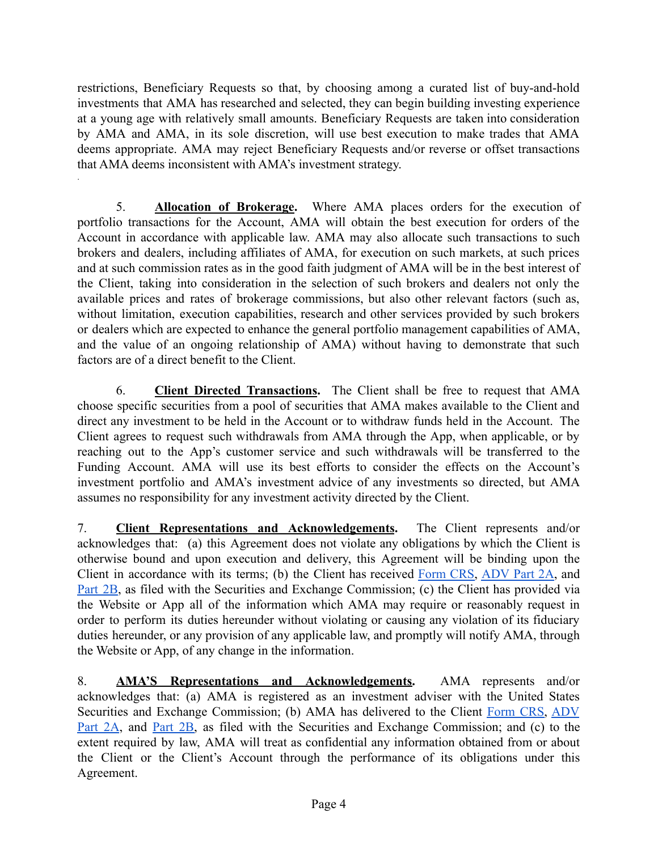restrictions, Beneficiary Requests so that, by choosing among a curated list of buy-and-hold investments that AMA has researched and selected, they can begin building investing experience at a young age with relatively small amounts. Beneficiary Requests are taken into consideration by AMA and AMA, in its sole discretion, will use best execution to make trades that AMA deems appropriate. AMA may reject Beneficiary Requests and/or reverse or offset transactions that AMA deems inconsistent with AMA's investment strategy.

.

5. **Allocation of Brokerage.** Where AMA places orders for the execution of portfolio transactions for the Account, AMA will obtain the best execution for orders of the Account in accordance with applicable law. AMA may also allocate such transactions to such brokers and dealers, including affiliates of AMA, for execution on such markets, at such prices and at such commission rates as in the good faith judgment of AMA will be in the best interest of the Client, taking into consideration in the selection of such brokers and dealers not only the available prices and rates of brokerage commissions, but also other relevant factors (such as, without limitation, execution capabilities, research and other services provided by such brokers or dealers which are expected to enhance the general portfolio management capabilities of AMA, and the value of an ongoing relationship of AMA) without having to demonstrate that such factors are of a direct benefit to the Client.

6. **Client Directed Transactions.** The Client shall be free to request that AMA choose specific securities from a pool of securities that AMA makes available to the Client and direct any investment to be held in the Account or to withdraw funds held in the Account. The Client agrees to request such withdrawals from AMA through the App, when applicable, or by reaching out to the App's customer service and such withdrawals will be transferred to the Funding Account. AMA will use its best efforts to consider the effects on the Account's investment portfolio and AMA's investment advice of any investments so directed, but AMA assumes no responsibility for any investment activity directed by the Client.

7. **Client Representations and Acknowledgements.** The Client represents and/or acknowledges that: (a) this Agreement does not violate any obligations by which the Client is otherwise bound and upon execution and delivery, this Agreement will be binding upon the Client in accordance with its terms; (b) the Client has received [Form](https://antmoneyadvisors.com/form-crs-adv-part-3/) CRS, [ADV](https://antmoneyadvisors.com/wrap-fee-brochure-adv-part-2a/) Part 2A, and [Part](https://antmoneyadvisors.com/brochure-supplement-adv-part-2b/) 2B, as filed with the Securities and Exchange Commission; (c) the Client has provided via the Website or App all of the information which AMA may require or reasonably request in order to perform its duties hereunder without violating or causing any violation of its fiduciary duties hereunder, or any provision of any applicable law, and promptly will notify AMA, through the Website or App, of any change in the information.

8. **AMA'S Representations and Acknowledgements.** AMA represents and/or acknowledges that: (a) AMA is registered as an investment adviser with the United States Securities and Exchange Commission; (b) AMA has delivered to the Client [Form](https://antmoneyadvisors.com/form-crs-adv-part-3/) CRS, [ADV](https://antmoneyadvisors.com/wrap-fee-brochure-adv-part-2a/) [Part](https://antmoneyadvisors.com/wrap-fee-brochure-adv-part-2a/) 2A, and [Part](https://antmoneyadvisors.com/brochure-supplement-adv-part-2b/) 2B, as filed with the Securities and Exchange Commission; and (c) to the extent required by law, AMA will treat as confidential any information obtained from or about the Client or the Client's Account through the performance of its obligations under this Agreement.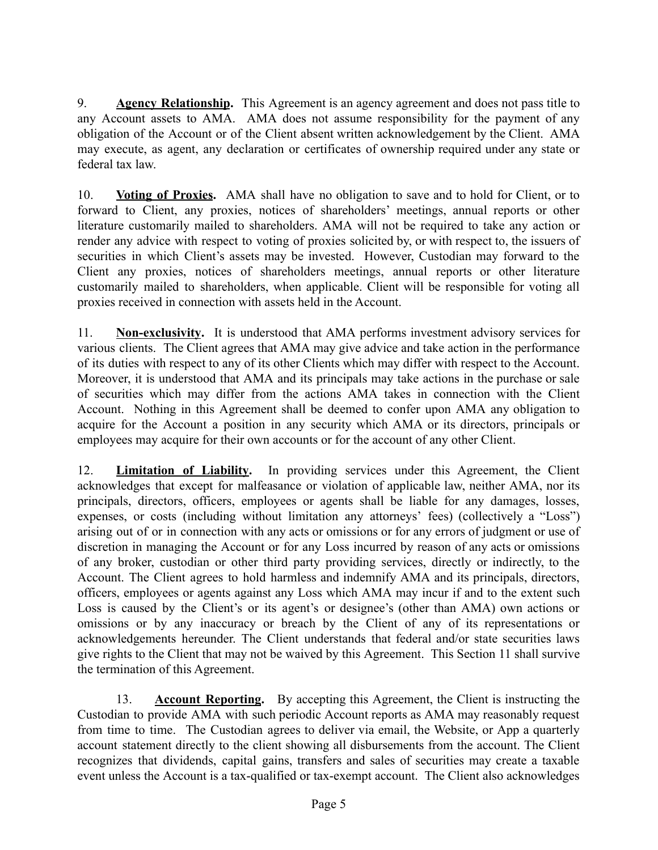9. **Agency Relationship.** This Agreement is an agency agreement and does not pass title to any Account assets to AMA. AMA does not assume responsibility for the payment of any obligation of the Account or of the Client absent written acknowledgement by the Client. AMA may execute, as agent, any declaration or certificates of ownership required under any state or federal tax law.

10. **Voting of Proxies.** AMA shall have no obligation to save and to hold for Client, or to forward to Client, any proxies, notices of shareholders' meetings, annual reports or other literature customarily mailed to shareholders. AMA will not be required to take any action or render any advice with respect to voting of proxies solicited by, or with respect to, the issuers of securities in which Client's assets may be invested. However, Custodian may forward to the Client any proxies, notices of shareholders meetings, annual reports or other literature customarily mailed to shareholders, when applicable. Client will be responsible for voting all proxies received in connection with assets held in the Account.

11. **Non-exclusivity.** It is understood that AMA performs investment advisory services for various clients. The Client agrees that AMA may give advice and take action in the performance of its duties with respect to any of its other Clients which may differ with respect to the Account. Moreover, it is understood that AMA and its principals may take actions in the purchase or sale of securities which may differ from the actions AMA takes in connection with the Client Account. Nothing in this Agreement shall be deemed to confer upon AMA any obligation to acquire for the Account a position in any security which AMA or its directors, principals or employees may acquire for their own accounts or for the account of any other Client.

12. **Limitation of Liability.** In providing services under this Agreement, the Client acknowledges that except for malfeasance or violation of applicable law, neither AMA, nor its principals, directors, officers, employees or agents shall be liable for any damages, losses, expenses, or costs (including without limitation any attorneys' fees) (collectively a "Loss") arising out of or in connection with any acts or omissions or for any errors of judgment or use of discretion in managing the Account or for any Loss incurred by reason of any acts or omissions of any broker, custodian or other third party providing services, directly or indirectly, to the Account. The Client agrees to hold harmless and indemnify AMA and its principals, directors, officers, employees or agents against any Loss which AMA may incur if and to the extent such Loss is caused by the Client's or its agent's or designee's (other than AMA) own actions or omissions or by any inaccuracy or breach by the Client of any of its representations or acknowledgements hereunder. The Client understands that federal and/or state securities laws give rights to the Client that may not be waived by this Agreement. This Section 11 shall survive the termination of this Agreement.

13. **Account Reporting.** By accepting this Agreement, the Client is instructing the Custodian to provide AMA with such periodic Account reports as AMA may reasonably request from time to time. The Custodian agrees to deliver via email, the Website, or App a quarterly account statement directly to the client showing all disbursements from the account. The Client recognizes that dividends, capital gains, transfers and sales of securities may create a taxable event unless the Account is a tax-qualified or tax-exempt account. The Client also acknowledges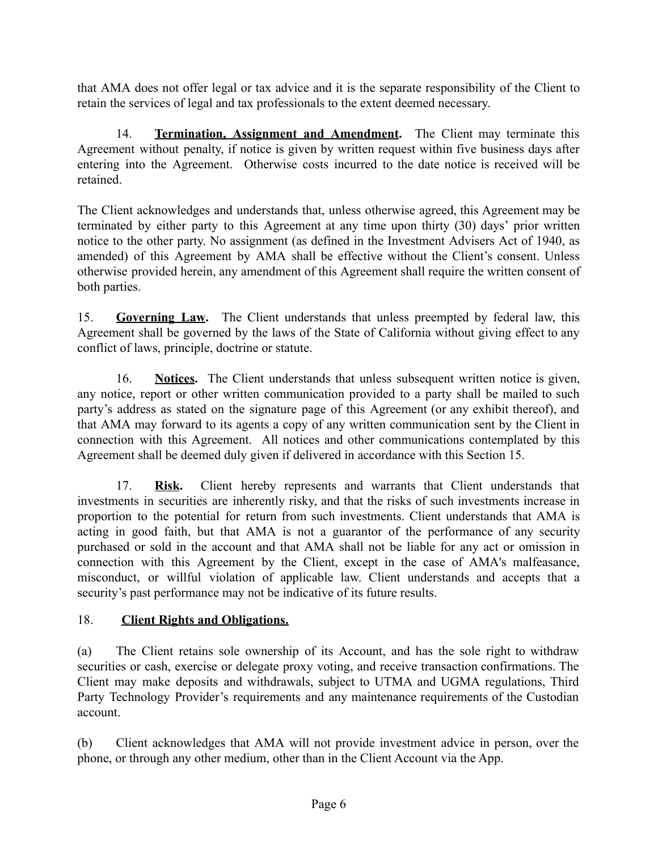that AMA does not offer legal or tax advice and it is the separate responsibility of the Client to retain the services of legal and tax professionals to the extent deemed necessary.

14. **Termination, Assignment and Amendment.** The Client may terminate this Agreement without penalty, if notice is given by written request within five business days after entering into the Agreement. Otherwise costs incurred to the date notice is received will be retained.

The Client acknowledges and understands that, unless otherwise agreed, this Agreement may be terminated by either party to this Agreement at any time upon thirty (30) days' prior written notice to the other party. No assignment (as defined in the Investment Advisers Act of 1940, as amended) of this Agreement by AMA shall be effective without the Client's consent. Unless otherwise provided herein, any amendment of this Agreement shall require the written consent of both parties.

15. **Governing Law.** The Client understands that unless preempted by federal law, this Agreement shall be governed by the laws of the State of California without giving effect to any conflict of laws, principle, doctrine or statute.

16. **Notices.** The Client understands that unless subsequent written notice is given, any notice, report or other written communication provided to a party shall be mailed to such party's address as stated on the signature page of this Agreement (or any exhibit thereof), and that AMA may forward to its agents a copy of any written communication sent by the Client in connection with this Agreement. All notices and other communications contemplated by this Agreement shall be deemed duly given if delivered in accordance with this Section 15.

17. **Risk.** Client hereby represents and warrants that Client understands that investments in securities are inherently risky, and that the risks of such investments increase in proportion to the potential for return from such investments. Client understands that AMA is acting in good faith, but that AMA is not a guarantor of the performance of any security purchased or sold in the account and that AMA shall not be liable for any act or omission in connection with this Agreement by the Client, except in the case of AMA's malfeasance, misconduct, or willful violation of applicable law. Client understands and accepts that a security's past performance may not be indicative of its future results.

#### 18. **Client Rights and Obligations.**

(a) The Client retains sole ownership of its Account, and has the sole right to withdraw securities or cash, exercise or delegate proxy voting, and receive transaction confirmations. The Client may make deposits and withdrawals, subject to UTMA and UGMA regulations, Third Party Technology Provider's requirements and any maintenance requirements of the Custodian account.

(b) Client acknowledges that AMA will not provide investment advice in person, over the phone, or through any other medium, other than in the Client Account via the App.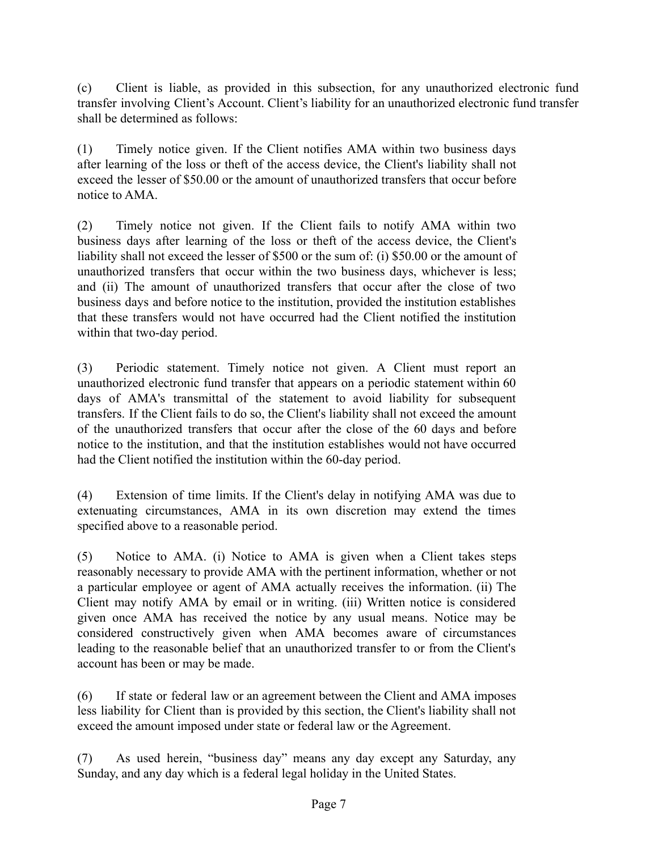(c) Client is liable, as provided in this subsection, for any unauthorized electronic fund transfer involving Client's Account. Client's liability for an unauthorized electronic fund transfer shall be determined as follows:

(1) Timely notice given. If the Client notifies AMA within two business days after learning of the loss or theft of the access device, the Client's liability shall not exceed the lesser of \$50.00 or the amount of unauthorized transfers that occur before notice to AMA.

(2) Timely notice not given. If the Client fails to notify AMA within two business days after learning of the loss or theft of the access device, the Client's liability shall not exceed the lesser of \$500 or the sum of: (i) \$50.00 or the amount of unauthorized transfers that occur within the two business days, whichever is less; and (ii) The amount of unauthorized transfers that occur after the close of two business days and before notice to the institution, provided the institution establishes that these transfers would not have occurred had the Client notified the institution within that two-day period.

(3) Periodic statement. Timely notice not given. A Client must report an unauthorized electronic fund transfer that appears on a periodic statement within 60 days of AMA's transmittal of the statement to avoid liability for subsequent transfers. If the Client fails to do so, the Client's liability shall not exceed the amount of the unauthorized transfers that occur after the close of the 60 days and before notice to the institution, and that the institution establishes would not have occurred had the Client notified the institution within the 60-day period.

(4) Extension of time limits. If the Client's delay in notifying AMA was due to extenuating circumstances, AMA in its own discretion may extend the times specified above to a reasonable period.

(5) Notice to AMA. (i) Notice to AMA is given when a Client takes steps reasonably necessary to provide AMA with the pertinent information, whether or not a particular employee or agent of AMA actually receives the information. (ii) The Client may notify AMA by email or in writing. (iii) Written notice is considered given once AMA has received the notice by any usual means. Notice may be considered constructively given when AMA becomes aware of circumstances leading to the reasonable belief that an unauthorized transfer to or from the Client's account has been or may be made.

(6) If state or federal law or an agreement between the Client and AMA imposes less liability for Client than is provided by this section, the Client's liability shall not exceed the amount imposed under state or federal law or the Agreement.

(7) As used herein, "business day" means any day except any Saturday, any Sunday, and any day which is a federal legal holiday in the United States.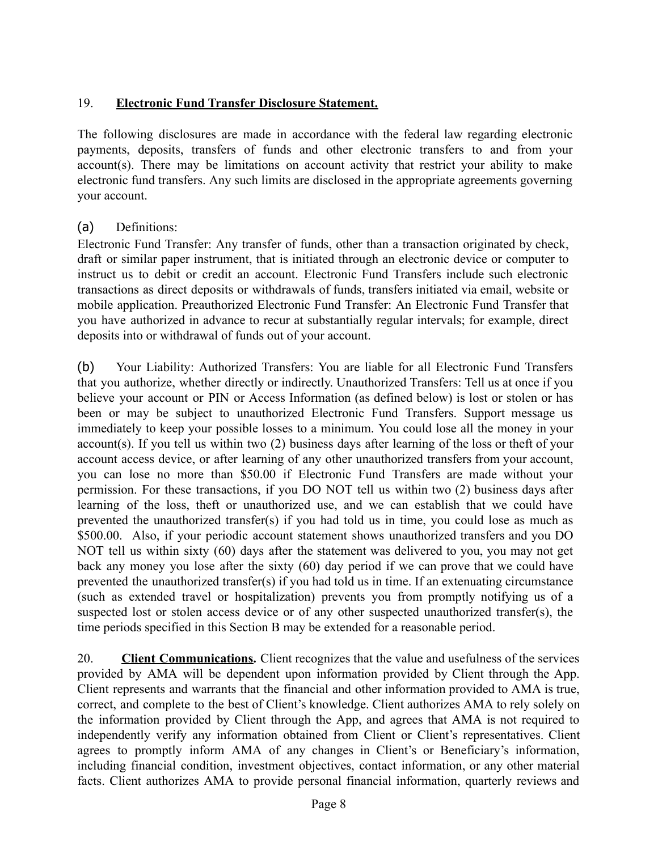## 19. **Electronic Fund Transfer Disclosure Statement.**

The following disclosures are made in accordance with the federal law regarding electronic payments, deposits, transfers of funds and other electronic transfers to and from your account(s). There may be limitations on account activity that restrict your ability to make electronic fund transfers. Any such limits are disclosed in the appropriate agreements governing your account.

## (a) Definitions:

Electronic Fund Transfer: Any transfer of funds, other than a transaction originated by check, draft or similar paper instrument, that is initiated through an electronic device or computer to instruct us to debit or credit an account. Electronic Fund Transfers include such electronic transactions as direct deposits or withdrawals of funds, transfers initiated via email, website or mobile application. Preauthorized Electronic Fund Transfer: An Electronic Fund Transfer that you have authorized in advance to recur at substantially regular intervals; for example, direct deposits into or withdrawal of funds out of your account.

(b) Your Liability: Authorized Transfers: You are liable for all Electronic Fund Transfers that you authorize, whether directly or indirectly. Unauthorized Transfers: Tell us at once if you believe your account or PIN or Access Information (as defined below) is lost or stolen or has been or may be subject to unauthorized Electronic Fund Transfers. Support message us immediately to keep your possible losses to a minimum. You could lose all the money in your account(s). If you tell us within two (2) business days after learning of the loss or theft of your account access device, or after learning of any other unauthorized transfers from your account, you can lose no more than \$50.00 if Electronic Fund Transfers are made without your permission. For these transactions, if you DO NOT tell us within two (2) business days after learning of the loss, theft or unauthorized use, and we can establish that we could have prevented the unauthorized transfer(s) if you had told us in time, you could lose as much as \$500.00. Also, if your periodic account statement shows unauthorized transfers and you DO NOT tell us within sixty (60) days after the statement was delivered to you, you may not get back any money you lose after the sixty (60) day period if we can prove that we could have prevented the unauthorized transfer(s) if you had told us in time. If an extenuating circumstance (such as extended travel or hospitalization) prevents you from promptly notifying us of a suspected lost or stolen access device or of any other suspected unauthorized transfer(s), the time periods specified in this Section B may be extended for a reasonable period.

20. **Client Communications.** Client recognizes that the value and usefulness of the services provided by AMA will be dependent upon information provided by Client through the App. Client represents and warrants that the financial and other information provided to AMA is true, correct, and complete to the best of Client's knowledge. Client authorizes AMA to rely solely on the information provided by Client through the App, and agrees that AMA is not required to independently verify any information obtained from Client or Client's representatives. Client agrees to promptly inform AMA of any changes in Client's or Beneficiary's information, including financial condition, investment objectives, contact information, or any other material facts. Client authorizes AMA to provide personal financial information, quarterly reviews and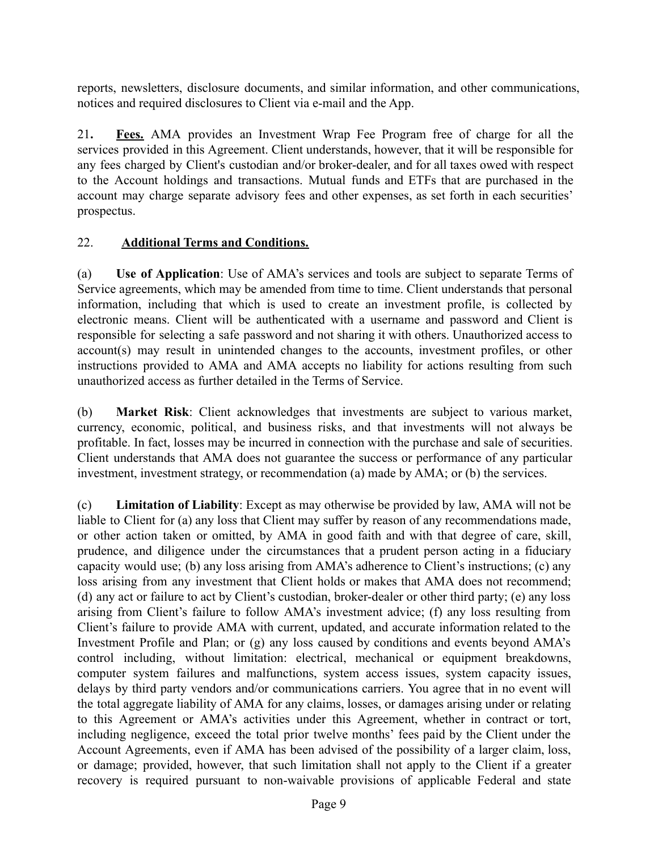reports, newsletters, disclosure documents, and similar information, and other communications, notices and required disclosures to Client via e-mail and the App.

21**. Fees.** AMA provides an Investment Wrap Fee Program free of charge for all the services provided in this Agreement. Client understands, however, that it will be responsible for any fees charged by Client's custodian and/or broker-dealer, and for all taxes owed with respect to the Account holdings and transactions. Mutual funds and ETFs that are purchased in the account may charge separate advisory fees and other expenses, as set forth in each securities' prospectus.

#### 22. **Additional Terms and Conditions.**

(a) **Use of Application**: Use of AMA's services and tools are subject to separate Terms of Service agreements, which may be amended from time to time. Client understands that personal information, including that which is used to create an investment profile, is collected by electronic means. Client will be authenticated with a username and password and Client is responsible for selecting a safe password and not sharing it with others. Unauthorized access to account(s) may result in unintended changes to the accounts, investment profiles, or other instructions provided to AMA and AMA accepts no liability for actions resulting from such unauthorized access as further detailed in the Terms of Service.

(b) **Market Risk**: Client acknowledges that investments are subject to various market, currency, economic, political, and business risks, and that investments will not always be profitable. In fact, losses may be incurred in connection with the purchase and sale of securities. Client understands that AMA does not guarantee the success or performance of any particular investment, investment strategy, or recommendation (a) made by AMA; or (b) the services.

(c) **Limitation of Liability**: Except as may otherwise be provided by law, AMA will not be liable to Client for (a) any loss that Client may suffer by reason of any recommendations made, or other action taken or omitted, by AMA in good faith and with that degree of care, skill, prudence, and diligence under the circumstances that a prudent person acting in a fiduciary capacity would use; (b) any loss arising from AMA's adherence to Client's instructions; (c) any loss arising from any investment that Client holds or makes that AMA does not recommend; (d) any act or failure to act by Client's custodian, broker-dealer or other third party; (e) any loss arising from Client's failure to follow AMA's investment advice; (f) any loss resulting from Client's failure to provide AMA with current, updated, and accurate information related to the Investment Profile and Plan; or (g) any loss caused by conditions and events beyond AMA's control including, without limitation: electrical, mechanical or equipment breakdowns, computer system failures and malfunctions, system access issues, system capacity issues, delays by third party vendors and/or communications carriers. You agree that in no event will the total aggregate liability of AMA for any claims, losses, or damages arising under or relating to this Agreement or AMA's activities under this Agreement, whether in contract or tort, including negligence, exceed the total prior twelve months' fees paid by the Client under the Account Agreements, even if AMA has been advised of the possibility of a larger claim, loss, or damage; provided, however, that such limitation shall not apply to the Client if a greater recovery is required pursuant to non-waivable provisions of applicable Federal and state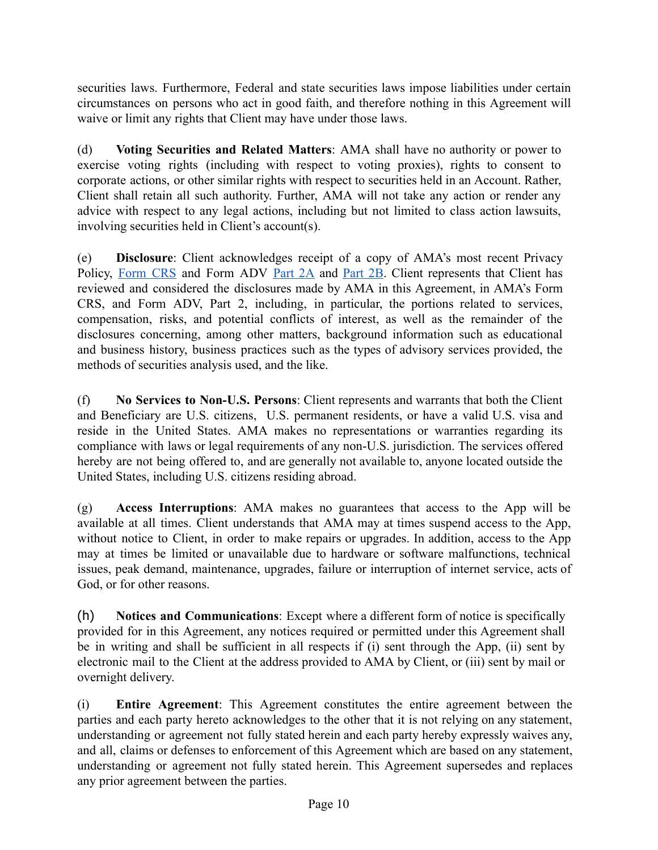securities laws. Furthermore, Federal and state securities laws impose liabilities under certain circumstances on persons who act in good faith, and therefore nothing in this Agreement will waive or limit any rights that Client may have under those laws.

(d) **Voting Securities and Related Matters**: AMA shall have no authority or power to exercise voting rights (including with respect to voting proxies), rights to consent to corporate actions, or other similar rights with respect to securities held in an Account. Rather, Client shall retain all such authority. Further, AMA will not take any action or render any advice with respect to any legal actions, including but not limited to class action lawsuits, involving securities held in Client's account(s).

(e) **Disclosure**: Client acknowledges receipt of a copy of AMA's most recent Privacy Policy, [Form](https://antmoneyadvisors.com/form-crs-adv-part-3/) CRS and Form ADV [Part](https://antmoneyadvisors.com/brochure-supplement-adv-part-2b/) 2A and Part 2B. Client represents that Client has reviewed and considered the disclosures made by AMA in this Agreement, in AMA's Form CRS, and Form ADV, Part 2, including, in particular, the portions related to services, compensation, risks, and potential conflicts of interest, as well as the remainder of the disclosures concerning, among other matters, background information such as educational and business history, business practices such as the types of advisory services provided, the methods of securities analysis used, and the like.

(f) **No Services to Non-U.S. Persons**: Client represents and warrants that both the Client and Beneficiary are U.S. citizens, U.S. permanent residents, or have a valid U.S. visa and reside in the United States. AMA makes no representations or warranties regarding its compliance with laws or legal requirements of any non-U.S. jurisdiction. The services offered hereby are not being offered to, and are generally not available to, anyone located outside the United States, including U.S. citizens residing abroad.

(g) **Access Interruptions**: AMA makes no guarantees that access to the App will be available at all times. Client understands that AMA may at times suspend access to the App, without notice to Client, in order to make repairs or upgrades. In addition, access to the App may at times be limited or unavailable due to hardware or software malfunctions, technical issues, peak demand, maintenance, upgrades, failure or interruption of internet service, acts of God, or for other reasons.

(h) **Notices and Communications**: Except where a different form of notice is specifically provided for in this Agreement, any notices required or permitted under this Agreement shall be in writing and shall be sufficient in all respects if (i) sent through the App, (ii) sent by electronic mail to the Client at the address provided to AMA by Client, or (iii) sent by mail or overnight delivery.

(i) **Entire Agreement**: This Agreement constitutes the entire agreement between the parties and each party hereto acknowledges to the other that it is not relying on any statement, understanding or agreement not fully stated herein and each party hereby expressly waives any, and all, claims or defenses to enforcement of this Agreement which are based on any statement, understanding or agreement not fully stated herein. This Agreement supersedes and replaces any prior agreement between the parties.